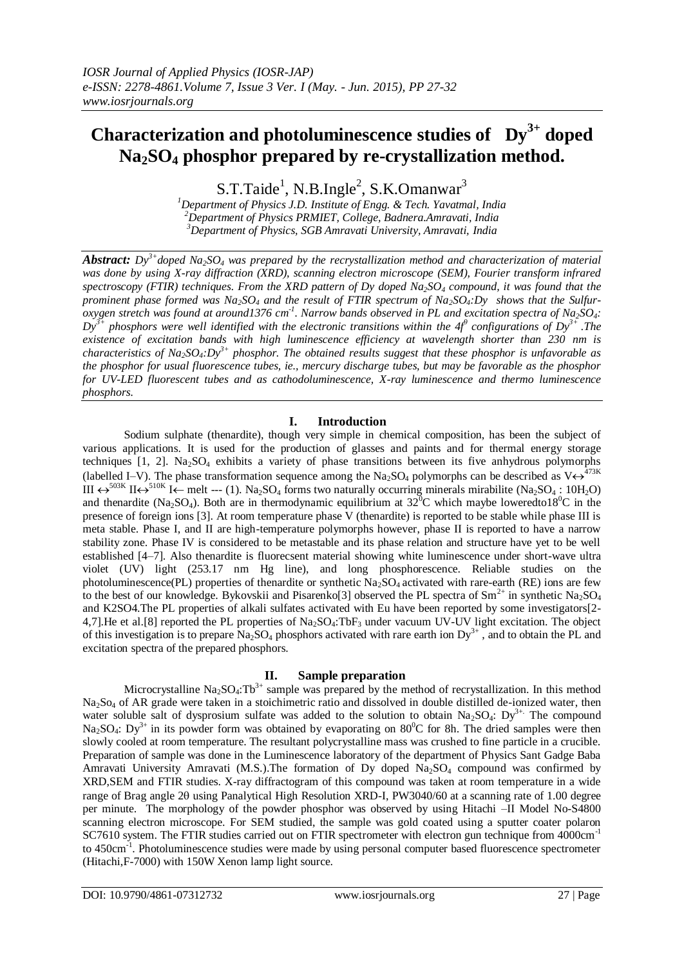# **Characterization and photoluminescence studies of Dy3+ doped Na2SO<sup>4</sup> phosphor prepared by re-crystallization method.**

S.T.Taide<sup>1</sup>, N.B.Ingle<sup>2</sup>, S.K.Omanwar<sup>3</sup>

*<sup>1</sup>Department of Physics J.D. Institute of Engg. & Tech. Yavatmal, India <sup>2</sup>Department of Physics PRMIET, College, Badnera.Amravati, India <sup>3</sup>Department of Physics, SGB Amravati University, Amravati, India*

*Abstract: Dy3+doped Na2SO<sup>4</sup> was prepared by the recrystallization method and characterization of material was done by using X-ray diffraction (XRD), scanning electron microscope (SEM), Fourier transform infrared spectroscopy (FTIR) techniques. From the XRD pattern of Dy doped Na2SO<sup>4</sup> compound, it was found that the prominent phase formed was Na2SO<sup>4</sup> and the result of FTIR spectrum of Na2SO4:Dy shows that the Sulfuroxygen stretch was found at around1376* cm<sup>-1</sup>. Narrow bands observed in PL and excitation spectra of Na<sub>2</sub>SO<sub>4</sub>:  $Dy^{3+}$  phosphors were well identified with the electronic transitions within the 4f<sup>9</sup> configurations of  $Dy^{3+}$ . The *existence of excitation bands with high luminescence efficiency at wavelength shorter than 230 nm is characteristics of Na2SO4:Dy3+ phosphor. The obtained results suggest that these phosphor is unfavorable as the phosphor for usual fluorescence tubes, ie., mercury discharge tubes, but may be favorable as the phosphor for UV-LED fluorescent tubes and as cathodoluminescence, X-ray luminescence and thermo luminescence phosphors.*

## **I. Introduction**

Sodium sulphate (thenardite), though very simple in chemical composition, has been the subject of various applications. It is used for the production of glasses and paints and for thermal energy storage techniques  $[1, 2]$ . Na<sub>2</sub>SO<sub>4</sub> exhibits a variety of phase transitions between its five anhydrous polymorphs (labelled I–V). The phase transformation sequence among the Na<sub>2</sub>SO<sub>4</sub> polymorphs can be described as V $\leftrightarrow$ <sup>473K</sup> III  $\leftrightarrow$ <sup>503K</sup> II $\leftrightarrow$ <sup>510K</sup> I $\leftarrow$  melt --- (1). Na<sub>2</sub>SO<sub>4</sub> forms two naturally occurring minerals mirabilite (Na<sub>2</sub>SO<sub>4</sub>: 10H<sub>2</sub>O) and thenardite (Na<sub>2</sub>SO<sub>4</sub>). Both are in thermodynamic equilibrium at  $32^{\circ}$ C which maybe loweredto18<sup>0</sup>C in the presence of foreign ions [3]. At room temperature phase V (thenardite) is reported to be stable while phase III is meta stable. Phase I, and II are high-temperature polymorphs however, phase II is reported to have a narrow stability zone. Phase IV is considered to be metastable and its phase relation and structure have yet to be well established [4–7]. Also thenardite is fluorecsent material showing white luminescence under short-wave ultra violet (UV) light (253.17 nm Hg line), and long phosphorescence. Reliable studies on the photoluminescence(PL) properties of thenardite or synthetic Na2SO4 activated with rare-earth (RE) ions are few to the best of our knowledge. Bykovskii and Pisarenko[3] observed the PL spectra of  $Sm^{2+}$  in synthetic Na<sub>2</sub>SO<sub>4</sub> and K2SO4.The PL properties of alkali sulfates activated with Eu have been reported by some investigators[2- 4,7]. He et al. [8] reported the PL properties of  $Na<sub>2</sub>SO<sub>4</sub>$ : TbF<sub>3</sub> under vacuum UV-UV light excitation. The object of this investigation is to prepare Na<sub>2</sub>SO<sub>4</sub> phosphors activated with rare earth ion  $Dy^{3+}$ , and to obtain the PL and excitation spectra of the prepared phosphors.

## **II. Sample preparation**

Microcrystalline Na<sub>2</sub>SO<sub>4</sub>:Tb<sup>3+</sup> sample was prepared by the method of recrystallization. In this method  $Na_2So_4$  of AR grade were taken in a stoichimetric ratio and dissolved in double distilled de-ionized water, then water soluble salt of dysprosium sulfate was added to the solution to obtain  $Na<sub>2</sub>SO<sub>4</sub>$ : Dy<sup>3+.</sup> The compound Na<sub>2</sub>SO<sub>4</sub>: Dy<sup>3+</sup> in its powder form was obtained by evaporating on  $80^{\circ}$ C for 8h. The dried samples were then slowly cooled at room temperature. The resultant polycrystalline mass was crushed to fine particle in a crucible. Preparation of sample was done in the Luminescence laboratory of the department of Physics Sant Gadge Baba Amravati University Amravati (M.S.). The formation of Dy doped  $Na<sub>2</sub>SO<sub>4</sub>$  compound was confirmed by XRD,SEM and FTIR studies. X-ray diffractogram of this compound was taken at room temperature in a wide range of Brag angle 20 using Panalytical High Resolution XRD-I, PW3040/60 at a scanning rate of 1.00 degree per minute. The morphology of the powder phosphor was observed by using Hitachi –II Model No-S4800 scanning electron microscope. For SEM studied, the sample was gold coated using a sputter coater polaron SC7610 system. The FTIR studies carried out on FTIR spectrometer with electron gun technique from 4000cm<sup>-1</sup> to 450cm<sup>-1</sup>. Photoluminescence studies were made by using personal computer based fluorescence spectrometer (Hitachi,F-7000) with 150W Xenon lamp light source.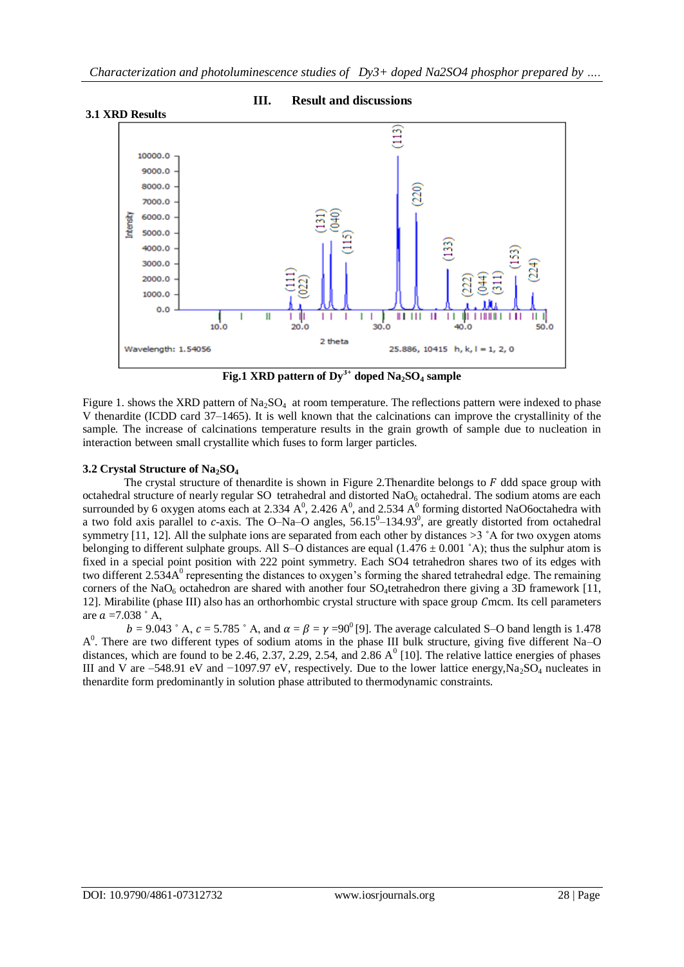

# **III. Result and discussions**

**Fig.1 XRD pattern of Dy3+ doped Na2SO<sup>4</sup> sample**

Figure 1. shows the XRD pattern of  $Na_2SO_4$  at room temperature. The reflections pattern were indexed to phase V thenardite (ICDD card 37–1465). It is well known that the calcinations can improve the crystallinity of the sample. The increase of calcinations temperature results in the grain growth of sample due to nucleation in interaction between small crystallite which fuses to form larger particles.

# **3.2 Crystal Structure of Na2SO<sup>4</sup>**

The crystal structure of thenardite is shown in Figure 2. Thenardite belongs to  $F$  ddd space group with octahedral structure of nearly regular SO tetrahedral and distorted  $NaO<sub>6</sub>$  octahedral. The sodium atoms are each surrounded by 6 oxygen atoms each at 2.334  $A^0$ , 2.426  $A^0$ , and 2.534  $A^0$  forming distorted NaO6octahedra with a two fold axis parallel to c-axis. The O–Na–O angles,  $56.15^{\circ}$ –134.93°, are greatly distorted from octahedral symmetry [11, 12]. All the sulphate ions are separated from each other by distances  $>3^\circ A$  for two oxygen atoms belonging to different sulphate groups. All S–O distances are equal  $(1.476 \pm 0.001 \degree A)$ ; thus the sulphur atom is fixed in a special point position with 222 point symmetry. Each SO4 tetrahedron shares two of its edges with two different  $2.534A<sup>0</sup>$  representing the distances to oxygen's forming the shared tetrahedral edge. The remaining corners of the NaO<sub>6</sub> octahedron are shared with another four SO<sub>4</sub>tetrahedron there giving a 3D framework [11, 12]. Mirabilite (phase III) also has an orthorhombic crystal structure with space group Cmcm. Its cell parameters are  $a = 7.038$   $\degree$  A,

 $b = 9.043$  ° A,  $c = 5.785$  ° A, and  $\alpha = \beta = \gamma = 90^{\circ}$  [9]. The average calculated S–O band length is 1.478 A<sup>0</sup>. There are two different types of sodium atoms in the phase III bulk structure, giving five different Na–O distances, which are found to be 2.46, 2.37, 2.29, 2.54, and 2.86  $A^0$  [10]. The relative lattice energies of phases III and V are –548.91 eV and −1097.97 eV, respectively. Due to the lower lattice energy,Na2SO<sup>4</sup> nucleates in thenardite form predominantly in solution phase attributed to thermodynamic constraints.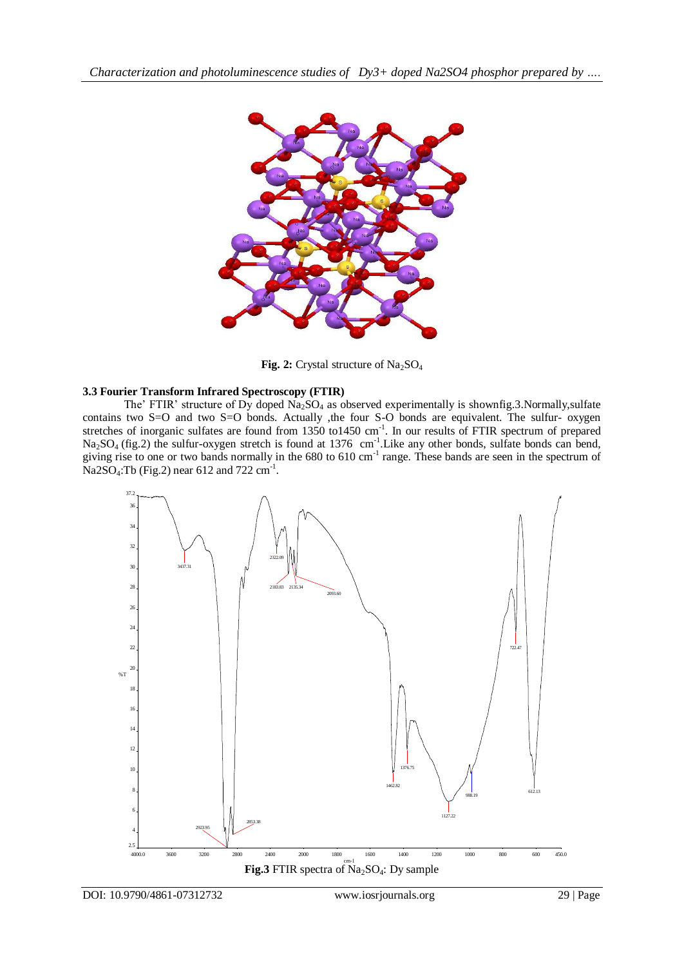

Fig. 2: Crystal structure of Na<sub>2</sub>SO<sub>4</sub>

# **3.3 Fourier Transform Infrared Spectroscopy (FTIR)**

The' FTIR' structure of Dy doped Na<sub>2</sub>SO<sub>4</sub> as observed experimentally is shownfig.3.Normally,sulfate contains two S=O and two S=O bonds. Actually , the four S-O bonds are equivalent. The sulfur- oxygen stretches of inorganic sulfates are found from 1350 to1450 cm<sup>-1</sup>. In our results of FTIR spectrum of prepared  $Na<sub>2</sub>SO<sub>4</sub>$  (fig.2) the sulfur-oxygen stretch is found at 1376 cm<sup>-1</sup>. Like any other bonds, sulfate bonds can bend, giving rise to one or two bands normally in the 680 to 610 cm<sup>-1</sup> range. These bands are seen in the spectrum of  $Na2SO<sub>4</sub>:Tb (Fig. 2) near 612 and 722 cm<sup>-1</sup>.$ 

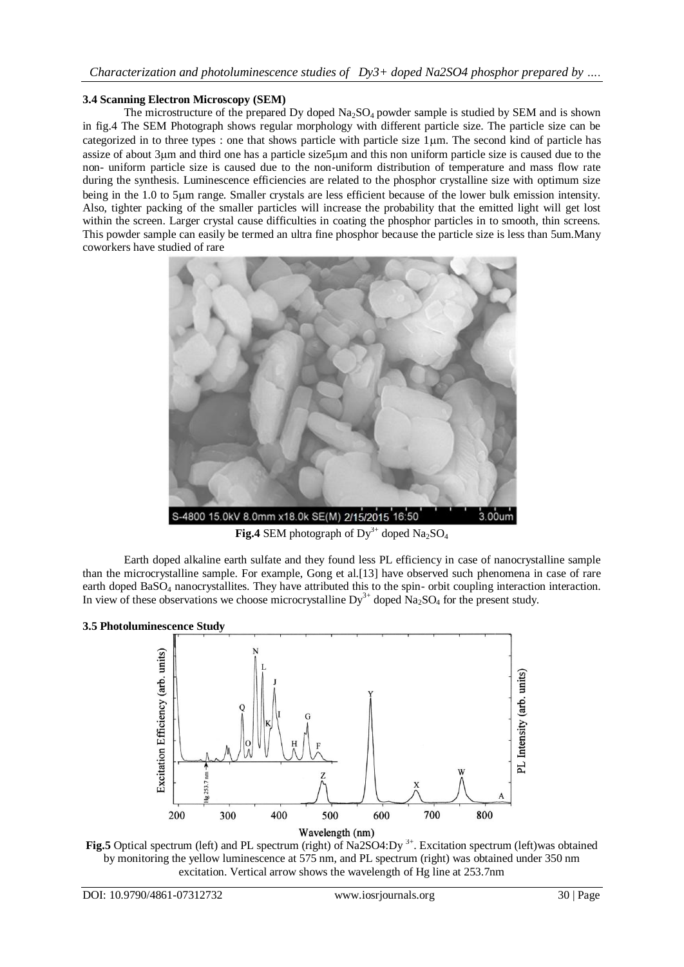## **3.4 Scanning Electron Microscopy (SEM)**

The microstructure of the prepared Dy doped  $Na_2SO_4$  powder sample is studied by SEM and is shown in fig.4 The SEM Photograph shows regular morphology with different particle size. The particle size can be categorized in to three types : one that shows particle with particle size  $1 \mu m$ . The second kind of particle has assize of about 3m and third one has a particle size5m and this non uniform particle size is caused due to the non- uniform particle size is caused due to the non-uniform distribution of temperature and mass flow rate during the synthesis. Luminescence efficiencies are related to the phosphor crystalline size with optimum size being in the 1.0 to 5µm range. Smaller crystals are less efficient because of the lower bulk emission intensity. Also, tighter packing of the smaller particles will increase the probability that the emitted light will get lost within the screen. Larger crystal cause difficulties in coating the phosphor particles in to smooth, thin screens. This powder sample can easily be termed an ultra fine phosphor because the particle size is less than 5um.Many coworkers have studied of rare



**Fig.4** SEM photograph of  $Dy^{3+}$  doped Na<sub>2</sub>SO<sub>4</sub>

Earth doped alkaline earth sulfate and they found less PL efficiency in case of nanocrystalline sample than the microcrystalline sample. For example, Gong et al.[13] have observed such phenomena in case of rare earth doped  $BaSO<sub>4</sub>$  nanocrystallites. They have attributed this to the spin- orbit coupling interaction interaction. In view of these observations we choose microcrystalline  $Dy^{3+}$  doped Na<sub>2</sub>SO<sub>4</sub> for the present study.

## **3.5 Photoluminescence Study**



**Fig.5** Optical spectrum (left) and PL spectrum (right) of Na2SO4:Dy<sup>3+</sup>. Excitation spectrum (left)was obtained by monitoring the yellow luminescence at 575 nm, and PL spectrum (right) was obtained under 350 nm excitation. Vertical arrow shows the wavelength of Hg line at 253.7nm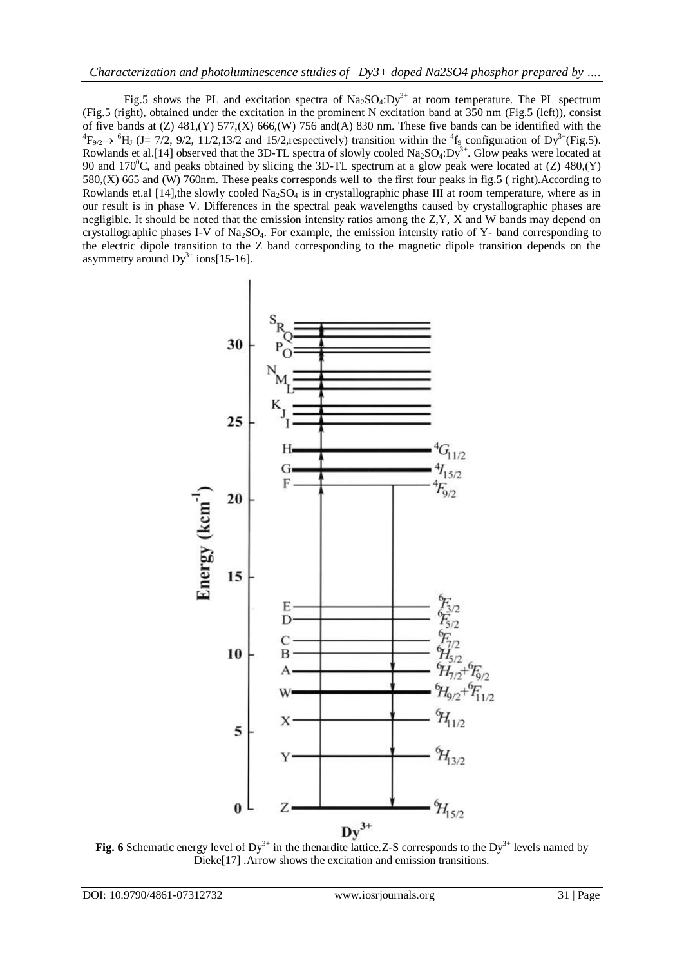Fig.5 shows the PL and excitation spectra of  $Na<sub>2</sub>SO<sub>4</sub>:Dy<sup>3+</sup>$  at room temperature. The PL spectrum (Fig.5 (right), obtained under the excitation in the prominent N excitation band at 350 nm (Fig.5 (left)), consist of five bands at  $(Z)$  481, $(Y)$  577, $(X)$  666, $(W)$  756 and $(A)$  830 nm. These five bands can be identified with the  ${}^{4}F_{9/2}$   $\rightarrow$   ${}^{6}H_{J}$  (J= 7/2, 9/2, 11/2,13/2 and 15/2, respectively) transition within the  ${}^{4}f_{9}$  configuration of Dy<sup>3+</sup>(Fig.5). Rowlands et al.[14] observed that the 3D-TL spectra of slowly cooled  $Na<sub>2</sub>SO<sub>4</sub>:Dy<sup>3+</sup>$ . Glow peaks were located at 90 and 170<sup>o</sup>C, and peaks obtained by slicing the 3D-TL spectrum at a glow peak were located at (Z) 480,(Y) 580,(X) 665 and (W) 760nm. These peaks corresponds well to the first four peaks in fig.5 ( right).According to Rowlands et.al [14],the slowly cooled  $Na<sub>2</sub>SO<sub>4</sub>$  is in crystallographic phase III at room temperature, where as in our result is in phase V. Differences in the spectral peak wavelengths caused by crystallographic phases are negligible. It should be noted that the emission intensity ratios among the Z,Y, X and W bands may depend on crystallographic phases I-V of Na<sub>2</sub>SO<sub>4</sub>. For example, the emission intensity ratio of Y- band corresponding to the electric dipole transition to the Z band corresponding to the magnetic dipole transition depends on the asymmetry around  $Dy^{3+}$  ions[15-16].



**Fig.** 6 Schematic energy level of  $Dy^{3+}$  in the thenardite lattice. Z-S corresponds to the  $Dy^{3+}$  levels named by Dieke[17] .Arrow shows the excitation and emission transitions.